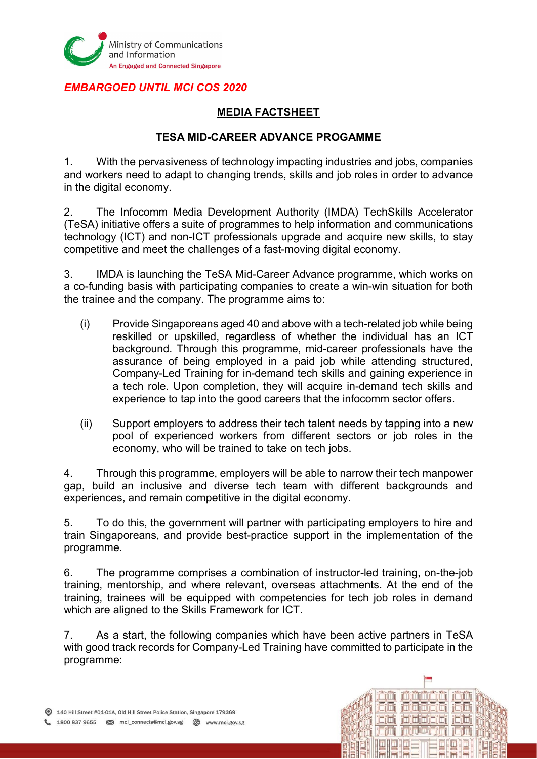

#### EMBARGOED UNTIL MCI COS 2020

## MEDIA FACTSHEET

#### TESA MID-CAREER ADVANCE PROGAMME

1. With the pervasiveness of technology impacting industries and jobs, companies and workers need to adapt to changing trends, skills and job roles in order to advance in the digital economy.

2. The Infocomm Media Development Authority (IMDA) TechSkills Accelerator (TeSA) initiative offers a suite of programmes to help information and communications technology (ICT) and non-ICT professionals upgrade and acquire new skills, to stay competitive and meet the challenges of a fast-moving digital economy.

3. IMDA is launching the TeSA Mid-Career Advance programme, which works on a co-funding basis with participating companies to create a win-win situation for both the trainee and the company. The programme aims to:

- (i) Provide Singaporeans aged 40 and above with a tech-related job while being reskilled or upskilled, regardless of whether the individual has an ICT background. Through this programme, mid-career professionals have the assurance of being employed in a paid job while attending structured, Company-Led Training for in-demand tech skills and gaining experience in a tech role. Upon completion, they will acquire in-demand tech skills and experience to tap into the good careers that the infocomm sector offers.
- (ii) Support employers to address their tech talent needs by tapping into a new pool of experienced workers from different sectors or job roles in the economy, who will be trained to take on tech jobs.

4. Through this programme, employers will be able to narrow their tech manpower gap, build an inclusive and diverse tech team with different backgrounds and experiences, and remain competitive in the digital economy.

5. To do this, the government will partner with participating employers to hire and train Singaporeans, and provide best-practice support in the implementation of the programme.

6. The programme comprises a combination of instructor-led training, on-the-job training, mentorship, and where relevant, overseas attachments. At the end of the training, trainees will be equipped with competencies for tech job roles in demand which are aligned to the Skills Framework for ICT.

7. As a start, the following companies which have been active partners in TeSA with good track records for Company-Led Training have committed to participate in the programme:

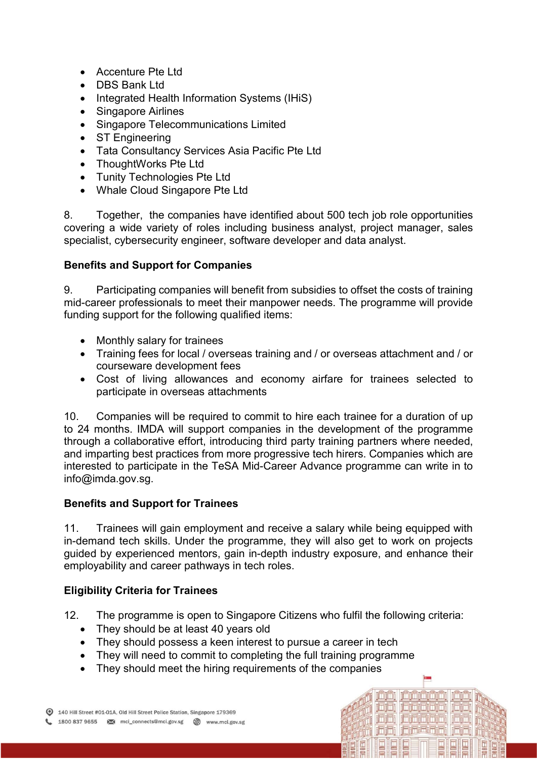- Accenture Pte Ltd
- DBS Bank Ltd
- Integrated Health Information Systems (IHiS)
- Singapore Airlines
- Singapore Telecommunications Limited
- ST Engineering
- Tata Consultancy Services Asia Pacific Pte Ltd
- ThoughtWorks Pte Ltd
- Tunity Technologies Pte Ltd
- Whale Cloud Singapore Pte Ltd

8. Together, the companies have identified about 500 tech job role opportunities covering a wide variety of roles including business analyst, project manager, sales specialist, cybersecurity engineer, software developer and data analyst.

### Benefits and Support for Companies

9. Participating companies will benefit from subsidies to offset the costs of training mid-career professionals to meet their manpower needs. The programme will provide funding support for the following qualified items:

- Monthly salary for trainees
- Training fees for local / overseas training and / or overseas attachment and / or courseware development fees
- Cost of living allowances and economy airfare for trainees selected to participate in overseas attachments

10. Companies will be required to commit to hire each trainee for a duration of up to 24 months. IMDA will support companies in the development of the programme through a collaborative effort, introducing third party training partners where needed, and imparting best practices from more progressive tech hirers. Companies which are interested to participate in the TeSA Mid-Career Advance programme can write in to info@imda.gov.sg.

### Benefits and Support for Trainees

11. Trainees will gain employment and receive a salary while being equipped with in-demand tech skills. Under the programme, they will also get to work on projects guided by experienced mentors, gain in-depth industry exposure, and enhance their employability and career pathways in tech roles.

## Eligibility Criteria for Trainees

12. The programme is open to Singapore Citizens who fulfil the following criteria:

icici icicici

<u>iniri iniririni</u>ni

ifiifi ifiifistifii

- They should be at least 40 years old
- They should possess a keen interest to pursue a career in tech
- They will need to commit to completing the full training programme
- They should meet the hiring requirements of the companies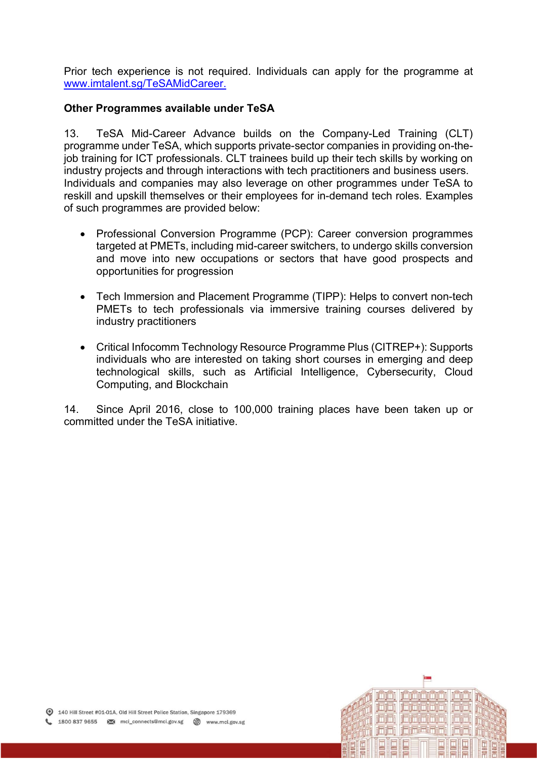Prior tech experience is not required. Individuals can apply for the programme at www.imtalent.sg/TeSAMidCareer.

#### Other Programmes available under TeSA

13. TeSA Mid-Career Advance builds on the Company-Led Training (CLT) programme under TeSA, which supports private-sector companies in providing on-thejob training for ICT professionals. CLT trainees build up their tech skills by working on industry projects and through interactions with tech practitioners and business users. Individuals and companies may also leverage on other programmes under TeSA to reskill and upskill themselves or their employees for in-demand tech roles. Examples of such programmes are provided below:

- Professional Conversion Programme (PCP): Career conversion programmes targeted at PMETs, including mid-career switchers, to undergo skills conversion and move into new occupations or sectors that have good prospects and opportunities for progression
- Tech Immersion and Placement Programme (TIPP): Helps to convert non-tech PMETs to tech professionals via immersive training courses delivered by industry practitioners
- Critical Infocomm Technology Resource Programme Plus (CITREP+): Supports individuals who are interested on taking short courses in emerging and deep technological skills, such as Artificial Intelligence, Cybersecurity, Cloud Computing, and Blockchain

14. Since April 2016, close to 100,000 training places have been taken up or committed under the TeSA initiative.

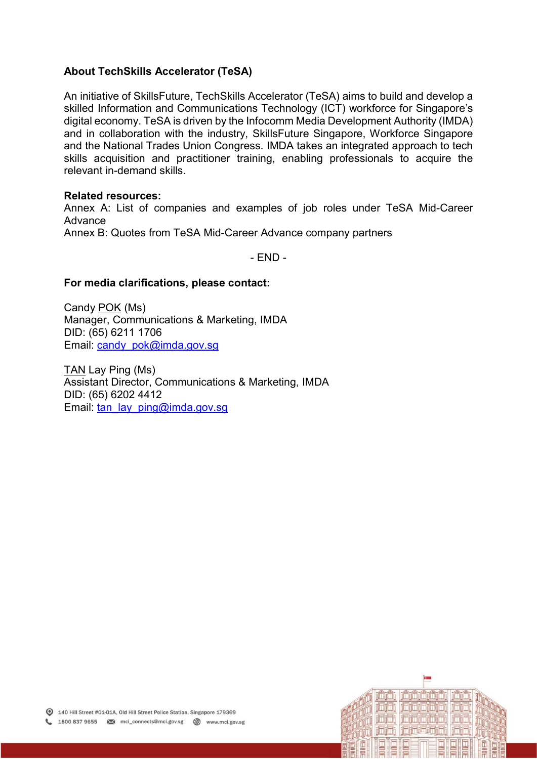#### About TechSkills Accelerator (TeSA)

An initiative of SkillsFuture, TechSkills Accelerator (TeSA) aims to build and develop a skilled Information and Communications Technology (ICT) workforce for Singapore's digital economy. TeSA is driven by the Infocomm Media Development Authority (IMDA) and in collaboration with the industry, SkillsFuture Singapore, Workforce Singapore and the National Trades Union Congress. IMDA takes an integrated approach to tech skills acquisition and practitioner training, enabling professionals to acquire the relevant in-demand skills.

#### Related resources:

Annex A: List of companies and examples of job roles under TeSA Mid-Career Advance

Annex B: Quotes from TeSA Mid-Career Advance company partners

- END -

#### For media clarifications, please contact:

Candy POK (Ms) Manager, Communications & Marketing, IMDA DID: (65) 6211 1706 Email: candy\_pok@imda.gov.sg

TAN Lay Ping (Ms) Assistant Director, Communications & Marketing, IMDA DID: (65) 6202 4412 Email: tan\_lay\_ping@imda.gov.sg

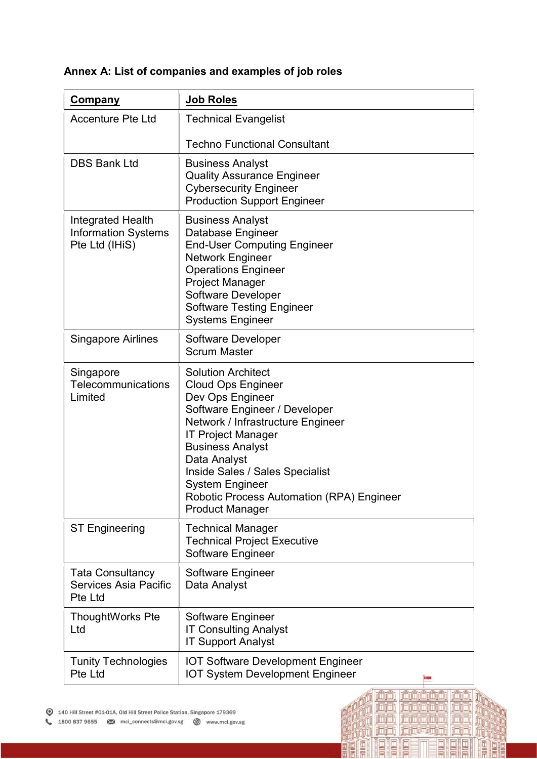| <b>Company</b>                                                    | <b>Job Roles</b>                                                                                                                                                                                                                                                                                                                                      |
|-------------------------------------------------------------------|-------------------------------------------------------------------------------------------------------------------------------------------------------------------------------------------------------------------------------------------------------------------------------------------------------------------------------------------------------|
| <b>Accenture Pte Ltd</b>                                          | <b>Technical Evangelist</b>                                                                                                                                                                                                                                                                                                                           |
|                                                                   | <b>Techno Functional Consultant</b>                                                                                                                                                                                                                                                                                                                   |
| <b>DBS Bank Ltd</b>                                               | <b>Business Analyst</b><br><b>Quality Assurance Engineer</b><br><b>Cybersecurity Engineer</b><br><b>Production Support Engineer</b>                                                                                                                                                                                                                   |
| Integrated Health<br><b>Information Systems</b><br>Pte Ltd (IHiS) | <b>Business Analyst</b><br>Database Engineer<br><b>End-User Computing Engineer</b><br><b>Network Engineer</b><br><b>Operations Engineer</b><br><b>Project Manager</b><br>Software Developer<br><b>Software Testing Engineer</b><br><b>Systems Engineer</b>                                                                                            |
| <b>Singapore Airlines</b>                                         | Software Developer<br><b>Scrum Master</b>                                                                                                                                                                                                                                                                                                             |
| Singapore<br>Telecommunications<br>Limited                        | <b>Solution Architect</b><br><b>Cloud Ops Engineer</b><br>Dev Ops Engineer<br>Software Engineer / Developer<br>Network / Infrastructure Engineer<br><b>IT Project Manager</b><br><b>Business Analyst</b><br>Data Analyst<br>Inside Sales / Sales Specialist<br>System Engineer<br>Robotic Process Automation (RPA) Engineer<br><b>Product Manager</b> |
| <b>ST Engineering</b>                                             | <b>Technical Manager</b><br><b>Technical Project Executive</b><br>Software Engineer                                                                                                                                                                                                                                                                   |
| <b>Tata Consultancy</b><br>Services Asia Pacific<br>Pte Ltd       | Software Engineer<br>Data Analyst                                                                                                                                                                                                                                                                                                                     |
| <b>ThoughtWorks Pte</b><br>Ltd                                    | Software Engineer<br><b>IT Consulting Analyst</b><br><b>IT Support Analyst</b>                                                                                                                                                                                                                                                                        |
| <b>Tunity Technologies</b><br>Pte Ltd                             | <b>IOT Software Development Engineer</b><br><b>IOT System Development Engineer</b>                                                                                                                                                                                                                                                                    |

<u>jää jääjäjäjä jää:</u><br>jää: jääjäjäjä; jää;<br>jää: jääjäjäjä, jää;

jajaj

回

 $\Box$  $\boxed{\blacksquare}$ 

È

**问问 词词词同词** 

HILL

ENNED

₫

# Annex A: List of companies and examples of job roles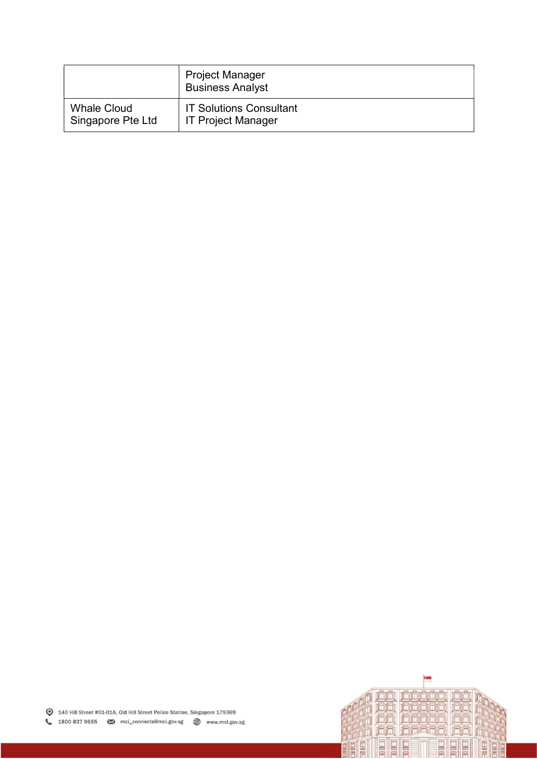|                    | <b>Project Manager</b><br><b>Business Analyst</b> |
|--------------------|---------------------------------------------------|
| <b>Whale Cloud</b> | <b>IT Solutions Consultant</b>                    |
| Singapore Pte Ltd  | <b>IT Project Manager</b>                         |

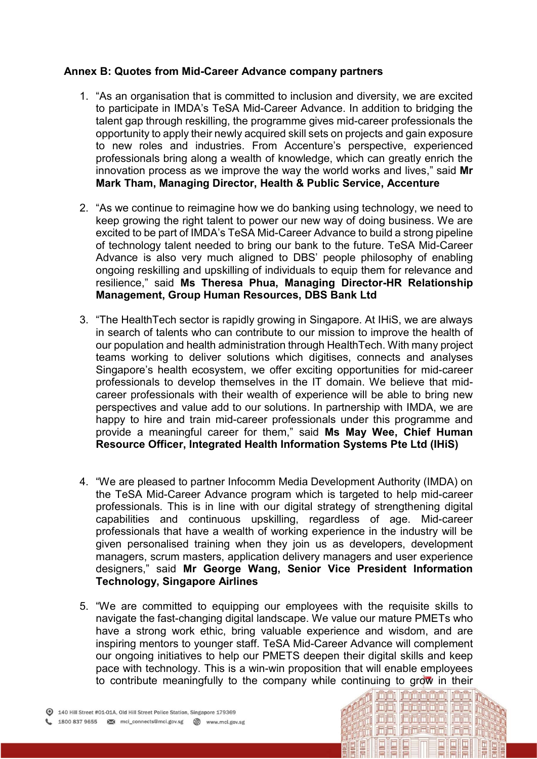#### Annex B: Quotes from Mid-Career Advance company partners

- 1. "As an organisation that is committed to inclusion and diversity, we are excited to participate in IMDA's TeSA Mid-Career Advance. In addition to bridging the talent gap through reskilling, the programme gives mid-career professionals the opportunity to apply their newly acquired skill sets on projects and gain exposure to new roles and industries. From Accenture's perspective, experienced professionals bring along a wealth of knowledge, which can greatly enrich the innovation process as we improve the way the world works and lives," said Mr Mark Tham, Managing Director, Health & Public Service, Accenture
- 2. "As we continue to reimagine how we do banking using technology, we need to keep growing the right talent to power our new way of doing business. We are excited to be part of IMDA's TeSA Mid-Career Advance to build a strong pipeline of technology talent needed to bring our bank to the future. TeSA Mid-Career Advance is also very much aligned to DBS' people philosophy of enabling ongoing reskilling and upskilling of individuals to equip them for relevance and resilience," said Ms Theresa Phua, Managing Director-HR Relationship Management, Group Human Resources, DBS Bank Ltd
- 3. "The HealthTech sector is rapidly growing in Singapore. At IHiS, we are always in search of talents who can contribute to our mission to improve the health of our population and health administration through HealthTech. With many project teams working to deliver solutions which digitises, connects and analyses Singapore's health ecosystem, we offer exciting opportunities for mid-career professionals to develop themselves in the IT domain. We believe that midcareer professionals with their wealth of experience will be able to bring new perspectives and value add to our solutions. In partnership with IMDA, we are happy to hire and train mid-career professionals under this programme and provide a meaningful career for them," said Ms May Wee, Chief Human Resource Officer, Integrated Health Information Systems Pte Ltd (IHiS)
- 4. "We are pleased to partner Infocomm Media Development Authority (IMDA) on the TeSA Mid-Career Advance program which is targeted to help mid-career professionals. This is in line with our digital strategy of strengthening digital capabilities and continuous upskilling, regardless of age. Mid-career professionals that have a wealth of working experience in the industry will be given personalised training when they join us as developers, development managers, scrum masters, application delivery managers and user experience designers," said Mr George Wang, Senior Vice President Information Technology, Singapore Airlines
- 5. "We are committed to equipping our employees with the requisite skills to navigate the fast-changing digital landscape. We value our mature PMETs who have a strong work ethic, bring valuable experience and wisdom, and are inspiring mentors to younger staff. TeSA Mid-Career Advance will complement our ongoing initiatives to help our PMETS deepen their digital skills and keep pace with technology. This is a win-win proposition that will enable employees to contribute meaningfully to the company while continuing to grow in their